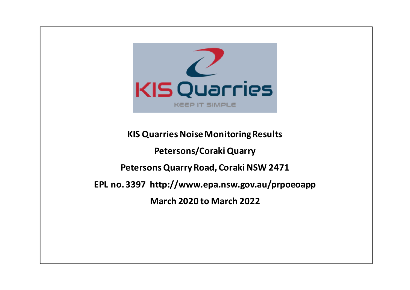

**KIS Quarries NoiseMonitoring Results Petersons/Coraki Quarry Petersons Quarry Road, Coraki NSW 2471 EPL no. 3397 http://www.epa.nsw.gov.au/prpoeoapp March 2020 to March 2022**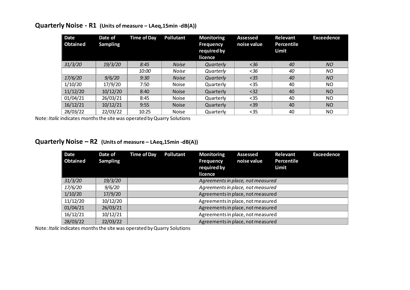| <b>Date</b><br>Obtained | Date of<br><b>Sampling</b> | <b>Time of Day</b> | Pollutant    | <b>Monitoring</b><br><b>Frequency</b><br>required by<br>licence | <b>Assessed</b><br>noise value | <b>Relevant</b><br>Percentile<br>Limit | <b>Exceedence</b> |
|-------------------------|----------------------------|--------------------|--------------|-----------------------------------------------------------------|--------------------------------|----------------------------------------|-------------------|
| 31/3/20                 | 19/3/20                    | 8:45               | <b>Noise</b> | Quarterly                                                       | $<$ 36                         | 40                                     | <b>NO</b>         |
|                         |                            | 10:00              | <b>Noise</b> | Quarterly                                                       | $<$ 36                         | 40                                     | NO                |
| 17/6/20                 | 9/6/20                     | 9:30               | <b>Noise</b> | Quarterly                                                       | $35$                           | 40                                     | <b>NO</b>         |
| 1/10/20                 | 17/9/20                    | 7:50               | <b>Noise</b> | Quarterly                                                       | $35$                           | 40                                     | NO                |
| 11/12/20                | 10/12/20                   | 8:40               | <b>Noise</b> | Quarterly                                                       | < 32                           | 40                                     | <b>NO</b>         |
| 01/04/21                | 26/03/21                   | 8:45               | <b>Noise</b> | Quarterly                                                       | $35$                           | 40                                     | NO                |
| 16/12/21                | 10/12/21                   | 9:55               | <b>Noise</b> | Quarterly                                                       | $39$                           | 40                                     | <b>NO</b>         |
| 28/03/22                | 22/03/22                   | 10:25              | <b>Noise</b> | Quarterly                                                       | $35$                           | 40                                     | <b>NO</b>         |

#### **Quarterly Noise - R1 (Units of measure – LAeq,15min -dB(A))**

Note: *Italic* indicates months the site was operated by Quarry Solutions

## **Quarterly Noise – R2 (Units of measure – LAeq,15min -dB(A))**

| <b>Date</b><br>Obtained | Date of<br><b>Sampling</b> | <b>Time of Day</b> | Pollutant                         | <b>Monitoring</b><br><b>Frequency</b><br>required by<br>licence | <b>Assessed</b><br>noise value | Relevant<br>Percentile<br>Limit | <b>Exceedence</b> |  |
|-------------------------|----------------------------|--------------------|-----------------------------------|-----------------------------------------------------------------|--------------------------------|---------------------------------|-------------------|--|
| 31/3/20                 | 19/3/20                    |                    | Agreements in place, not measured |                                                                 |                                |                                 |                   |  |
| 17/6/20                 | <i>9/6/20</i>              |                    | Agreements in place, not measured |                                                                 |                                |                                 |                   |  |
| 1/10/20                 | 17/9/20                    |                    | Agreements in place, not measured |                                                                 |                                |                                 |                   |  |
| 11/12/20                | 10/12/20                   |                    | Agreements in place, not measured |                                                                 |                                |                                 |                   |  |
| 01/04/21                | 26/03/21                   |                    | Agreements in place, not measured |                                                                 |                                |                                 |                   |  |
| 16/12/21                | 10/12/21                   |                    | Agreements in place, not measured |                                                                 |                                |                                 |                   |  |
| 28/03/22                | 22/03/22                   |                    | Agreements in place, not measured |                                                                 |                                |                                 |                   |  |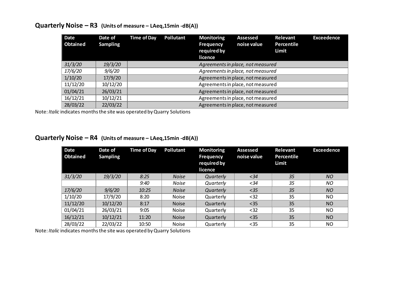| <b>Date</b><br><b>Obtained</b> | Date of<br><b>Sampling</b> | Time of Day | Pollutant                         | <b>Monitoring</b><br><b>Frequency</b><br>required by<br>licence | <b>Assessed</b><br>noise value    | Relevant<br>Percentile<br>Limit | <b>Exceedence</b> |  |
|--------------------------------|----------------------------|-------------|-----------------------------------|-----------------------------------------------------------------|-----------------------------------|---------------------------------|-------------------|--|
| 31/3/20                        | 19/3/20                    |             |                                   |                                                                 | Agreements in place, not measured |                                 |                   |  |
| 17/6/20                        | 9/6/20                     |             | Agreements in place, not measured |                                                                 |                                   |                                 |                   |  |
| 1/10/20                        | 17/9/20                    |             | Agreements in place, not measured |                                                                 |                                   |                                 |                   |  |
| 11/12/20                       | 10/12/20                   |             | Agreements in place, not measured |                                                                 |                                   |                                 |                   |  |
| 01/04/21                       | 26/03/21                   |             | Agreements in place, not measured |                                                                 |                                   |                                 |                   |  |
| 16/12/21                       | 10/12/21                   |             | Agreements in place, not measured |                                                                 |                                   |                                 |                   |  |
| 28/03/22                       | 22/03/22                   |             |                                   |                                                                 | Agreements in place, not measured |                                 |                   |  |

#### **Quarterly Noise – R3 (Units of measure – LAeq,15min -dB(A))**

Note: *Italic* indicates months the site was operated by Quarry Solutions

## **Quarterly Noise – R4 (Units of measure – LAeq,15min -dB(A))**

| <b>Date</b><br><b>Obtained</b> | Date of<br><b>Sampling</b> | <b>Time of Day</b> | Pollutant    | <b>Monitoring</b><br><b>Frequency</b><br>required by<br>licence | <b>Assessed</b><br>noise value | Relevant<br>Percentile<br>Limit | <b>Exceedence</b> |
|--------------------------------|----------------------------|--------------------|--------------|-----------------------------------------------------------------|--------------------------------|---------------------------------|-------------------|
| 31/3/20                        | 19/3/20                    | 8:25               | <b>Noise</b> | Quarterly                                                       | $34$                           | 35                              | <b>NO</b>         |
|                                |                            | 9:40               | Noise        | Quarterly                                                       | $<$ 34                         | 35                              | ΝO                |
| 17/6/20                        | 9/6/20                     | 10:25              | <b>Noise</b> | Quarterly                                                       | $35$                           | 35                              | NO                |
| 1/10/20                        | 17/9/20                    | 8:20               | Noise        | Quarterly                                                       | $32$                           | 35                              | ΝO                |
| 11/12/20                       | 10/12/20                   | 8:17               | <b>Noise</b> | Quarterly                                                       | $35$                           | 35                              | <b>NO</b>         |
| 01/04/21                       | 26/03/21                   | 9:05               | <b>Noise</b> | Quarterly                                                       | $32$                           | 35                              | NO.               |
| 16/12/21                       | 10/12/21                   | 11:20              | <b>Noise</b> | Quarterly                                                       | $35$                           | 35                              | <b>NO</b>         |
| 28/03/22                       | 22/03/22                   | 10:50              | <b>Noise</b> | Quarterly                                                       | $35$                           | 35                              | <b>NO</b>         |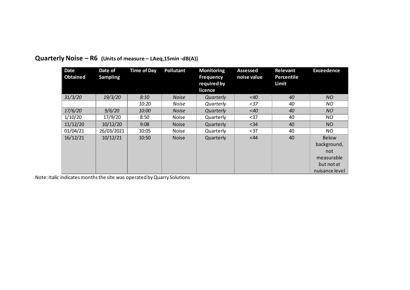| <b>Date</b><br><b>Obtained</b> | Date of<br><b>Sampling</b> | <b>Time of Day</b> | <b>Pollutant</b> | <b>Monitoring</b><br><b>Frequency</b><br>required by<br>licence | <b>Assessed</b><br>noise value | Relevant<br>Percentile<br>Limit | <b>Exceedence</b>                                                         |
|--------------------------------|----------------------------|--------------------|------------------|-----------------------------------------------------------------|--------------------------------|---------------------------------|---------------------------------------------------------------------------|
| 31/3/20                        | 19/3/20                    | 8:10               | <b>Noise</b>     | Quarterly                                                       | $~<$ 40                        | 40                              | NO.                                                                       |
|                                |                            | <i>10:20</i>       | Noise            | Quarterly                                                       | $37$                           | 40                              | ΝO                                                                        |
| 17/6/20                        | 9/6/20                     | 10:00              | <b>Noise</b>     | Quarterly                                                       | $<$ 40                         | 40                              | NO                                                                        |
| 1/10/20                        | 17/9/20                    | 8:50               | Noise            | Quarterly                                                       | $37$                           | 40                              | NO.                                                                       |
| 11/12/20                       | 10/12/20                   | 9:08               | <b>Noise</b>     | Quarterly                                                       | $<34$                          | 40                              | <b>NO</b>                                                                 |
| 01/04/21                       | 26/03/2021                 | 10:05              | <b>Noise</b>     | Quarterly                                                       | $37$                           | 40                              | NO.                                                                       |
| 16/12/21                       | 10/12/21                   | 10:50              | <b>Noise</b>     | Quarterly                                                       | <44                            | 40                              | Below<br>background,<br>not<br>measurable<br>but not at<br>nuisance level |

# **Quarterly Noise – R6 (Units of measure – LAeq,15min -dB(A))**